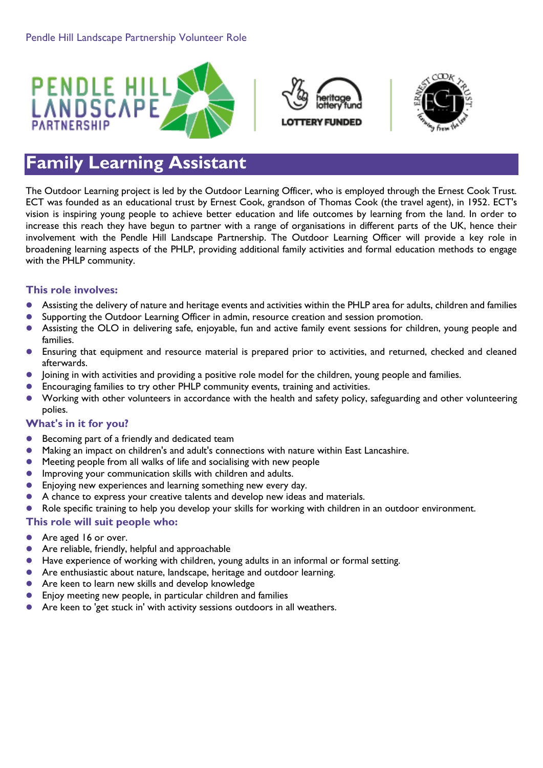





# **Family Learning Assistant**

The Outdoor Learning project is led by the Outdoor Learning Officer, who is employed through the Ernest Cook Trust. ECT was founded as an educational trust by Ernest Cook, grandson of Thomas Cook (the travel agent), in 1952. ECT's vision is inspiring young people to achieve better education and life outcomes by learning from the land. In order to increase this reach they have begun to partner with a range of organisations in different parts of the UK, hence their involvement with the Pendle Hill Landscape Partnership. The Outdoor Learning Officer will provide a key role in broadening learning aspects of the PHLP, providing additional family activities and formal education methods to engage with the PHLP community.

# **This role involves:**

- Assisting the delivery of nature and heritage events and activities within the PHLP area for adults, children and families
- Supporting the Outdoor Learning Officer in admin, resource creation and session promotion.
- Assisting the OLO in delivering safe, enjoyable, fun and active family event sessions for children, young people and families.
- Ensuring that equipment and resource material is prepared prior to activities, and returned, checked and cleaned afterwards.
- Joining in with activities and providing a positive role model for the children, young people and families.
- Encouraging families to try other PHLP community events, training and activities.
- Working with other volunteers in accordance with the health and safety policy, safeguarding and other volunteering polies.

### **What's in it for you?**

- **Becoming part of a friendly and dedicated team**
- Making an impact on children's and adult's connections with nature within East Lancashire.
- Meeting people from all walks of life and socialising with new people
- **Improving your communication skills with children and adults.**
- **Enjoying new experiences and learning something new every day.**
- A chance to express your creative talents and develop new ideas and materials.
- Role specific training to help you develop your skills for working with children in an outdoor environment.

#### **This role will suit people who:**

- Are aged 16 or over.
- Are reliable, friendly, helpful and approachable
- Have experience of working with children, young adults in an informal or formal setting.
- Are enthusiastic about nature, landscape, heritage and outdoor learning.
- Are keen to learn new skills and develop knowledge
- Enjoy meeting new people, in particular children and families
- Are keen to 'get stuck in' with activity sessions outdoors in all weathers.